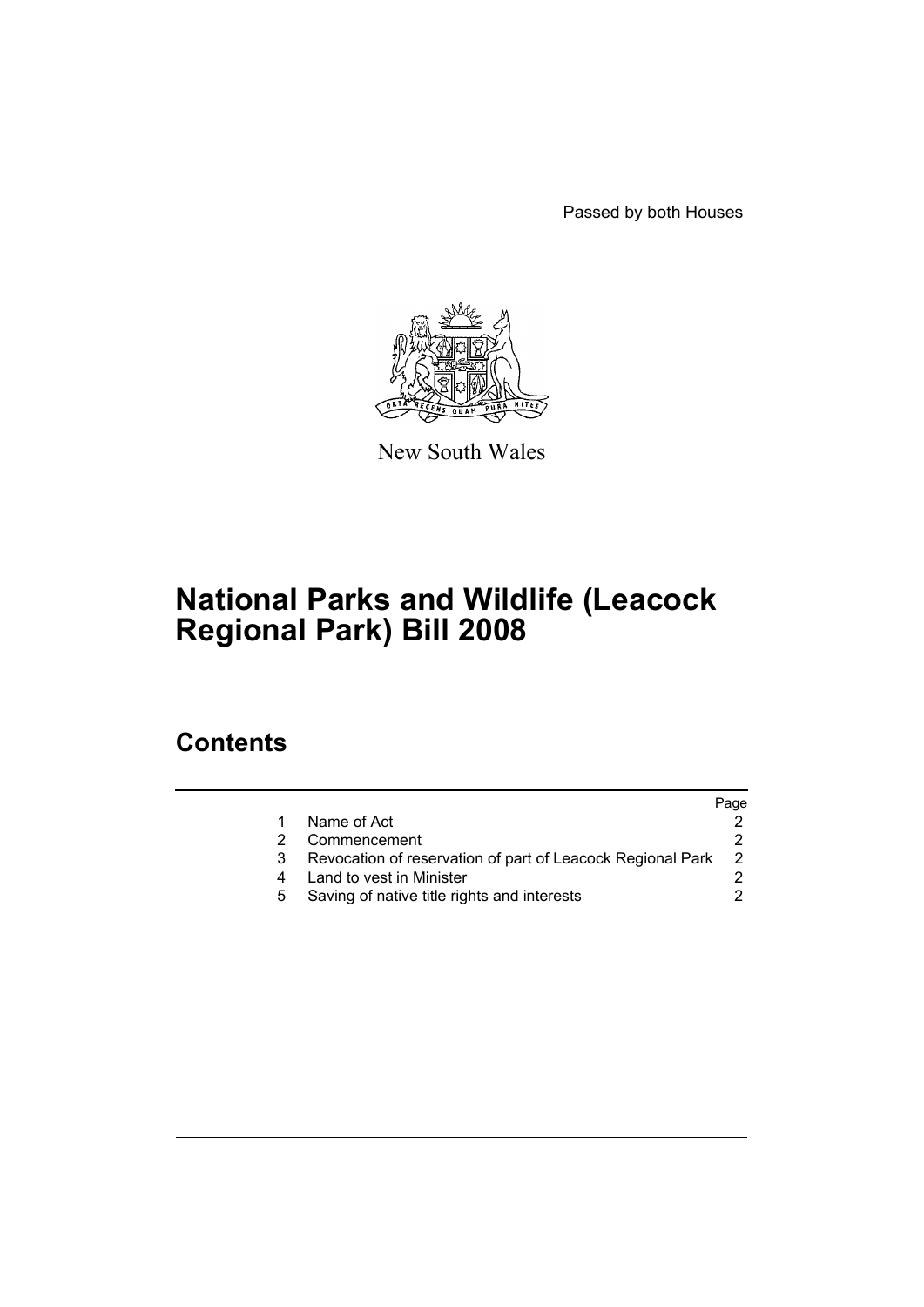Passed by both Houses



New South Wales

# **National Parks and Wildlife (Leacock Regional Park) Bill 2008**

### **Contents**

|   |                                                            | Page           |
|---|------------------------------------------------------------|----------------|
|   | Name of Act                                                |                |
|   | Commencement                                               |                |
| 3 | Revocation of reservation of part of Leacock Regional Park | $\overline{2}$ |
|   | Land to vest in Minister                                   |                |
|   | Saving of native title rights and interests                |                |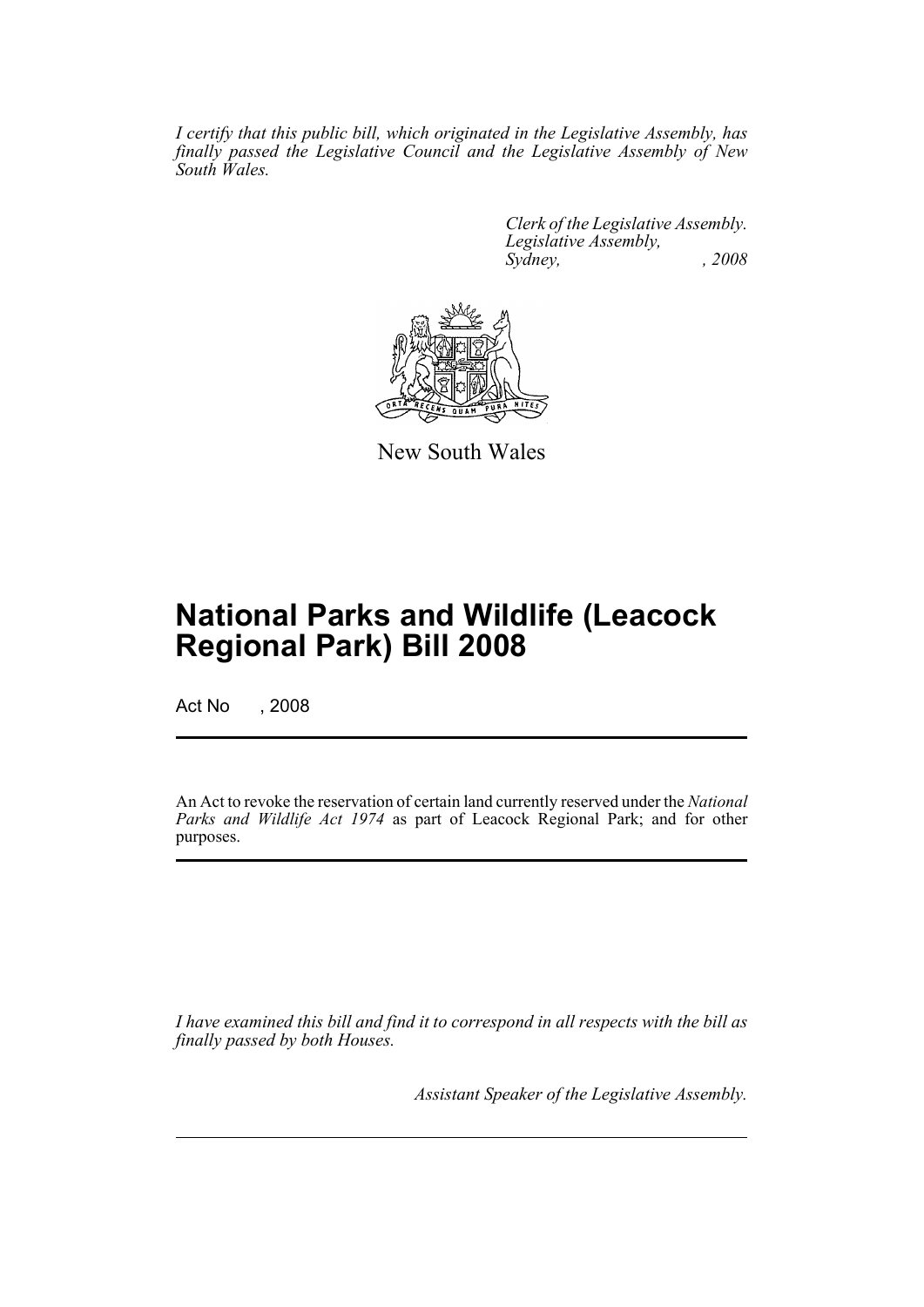*I certify that this public bill, which originated in the Legislative Assembly, has finally passed the Legislative Council and the Legislative Assembly of New South Wales.*

> *Clerk of the Legislative Assembly. Legislative Assembly, Sydney, , 2008*



New South Wales

## **National Parks and Wildlife (Leacock Regional Park) Bill 2008**

Act No , 2008

An Act to revoke the reservation of certain land currently reserved under the *National Parks and Wildlife Act 1974* as part of Leacock Regional Park; and for other purposes.

*I have examined this bill and find it to correspond in all respects with the bill as finally passed by both Houses.*

*Assistant Speaker of the Legislative Assembly.*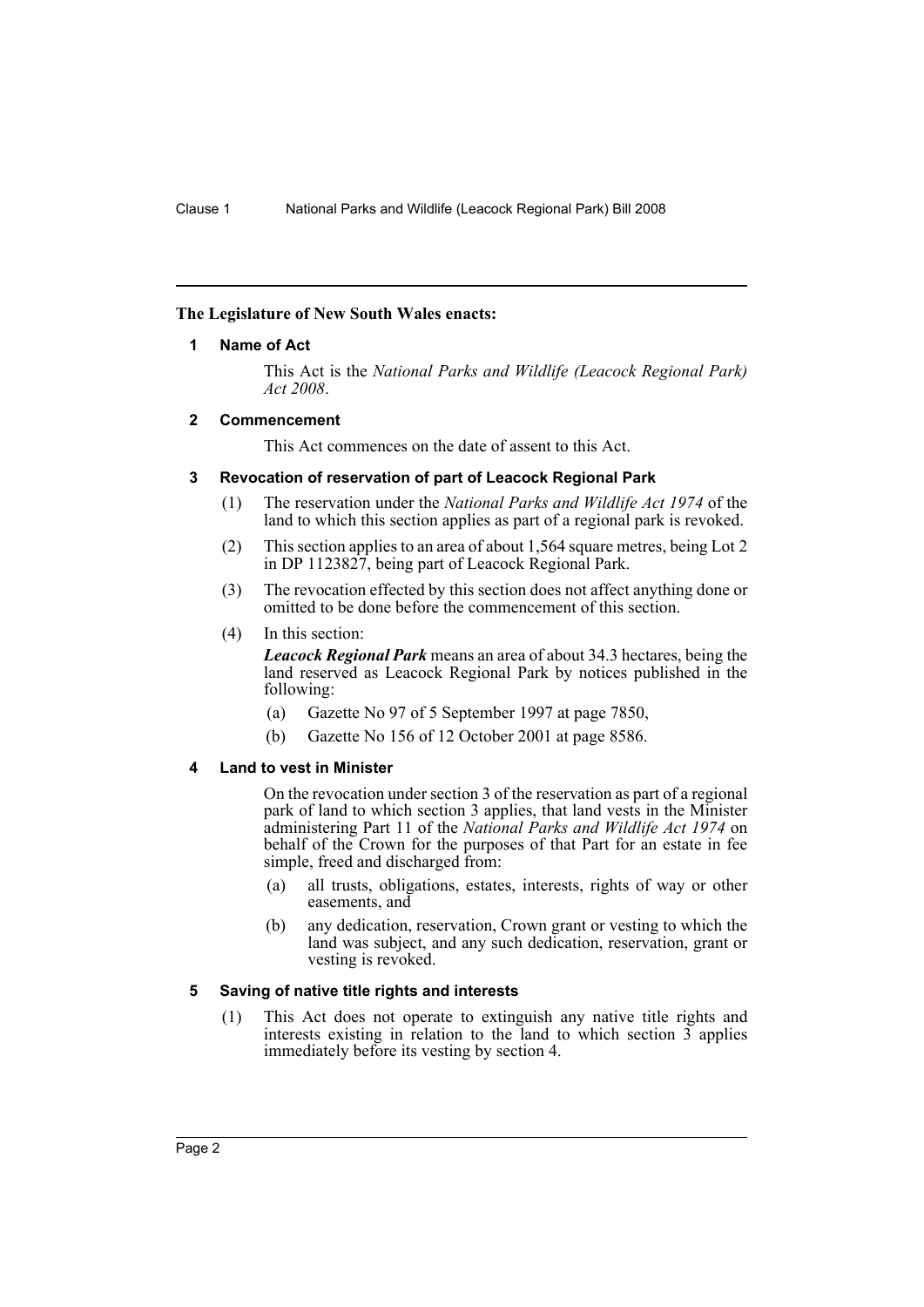#### <span id="page-2-0"></span>**The Legislature of New South Wales enacts:**

#### **1 Name of Act**

This Act is the *National Parks and Wildlife (Leacock Regional Park) Act 2008*.

#### <span id="page-2-1"></span>**2 Commencement**

This Act commences on the date of assent to this Act.

#### <span id="page-2-2"></span>**3 Revocation of reservation of part of Leacock Regional Park**

- (1) The reservation under the *National Parks and Wildlife Act 1974* of the land to which this section applies as part of a regional park is revoked.
- (2) This section applies to an area of about 1,564 square metres, being Lot 2 in DP 1123827, being part of Leacock Regional Park.
- (3) The revocation effected by this section does not affect anything done or omitted to be done before the commencement of this section.
- (4) In this section:

*Leacock Regional Park* means an area of about 34.3 hectares, being the land reserved as Leacock Regional Park by notices published in the following:

- (a) Gazette No 97 of 5 September 1997 at page 7850,
- (b) Gazette No 156 of 12 October 2001 at page 8586.

#### <span id="page-2-3"></span>**4 Land to vest in Minister**

On the revocation under section 3 of the reservation as part of a regional park of land to which section 3 applies, that land vests in the Minister administering Part 11 of the *National Parks and Wildlife Act 1974* on behalf of the Crown for the purposes of that Part for an estate in fee simple, freed and discharged from:

- (a) all trusts, obligations, estates, interests, rights of way or other easements, and
- (b) any dedication, reservation, Crown grant or vesting to which the land was subject, and any such dedication, reservation, grant or vesting is revoked.

#### <span id="page-2-4"></span>**5 Saving of native title rights and interests**

(1) This Act does not operate to extinguish any native title rights and interests existing in relation to the land to which section  $\overline{3}$  applies immediately before its vesting by section 4.